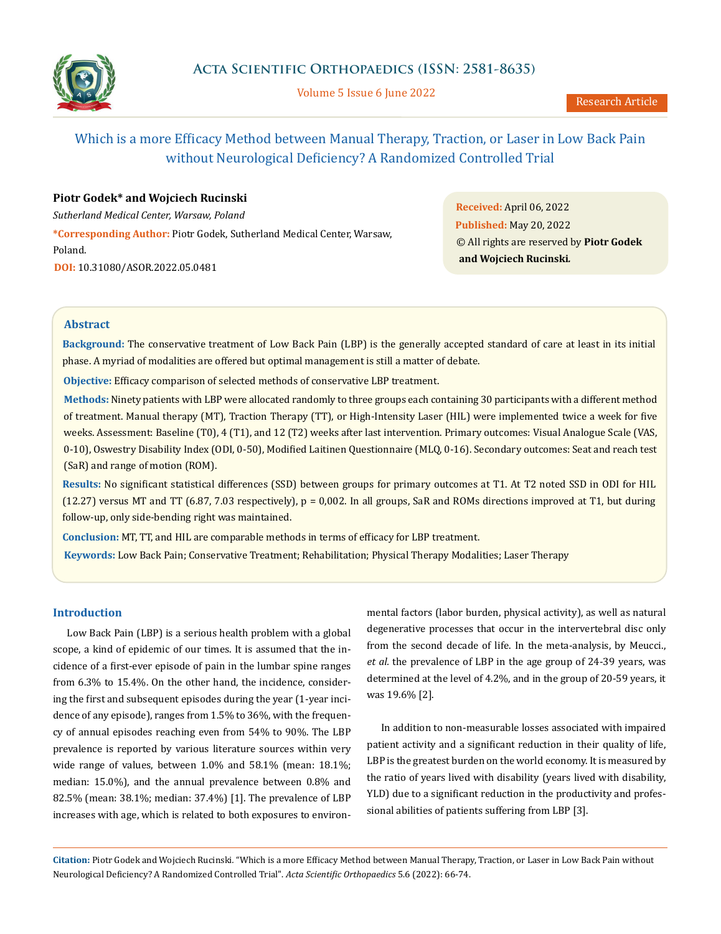

Volume 5 Issue 6 June 2022

# Which is a more Efficacy Method between Manual Therapy, Traction, or Laser in Low Back Pain without Neurological Deficiency? A Randomized Controlled Trial

# **Piotr Godek\* and Wojciech Rucinski**

*Sutherland Medical Center, Warsaw, Poland*

**\*Corresponding Author:** Piotr Godek, Sutherland Medical Center, Warsaw, Poland. **DOI:** [10.31080/ASOR.2022.05.0481](https://actascientific.com/ASOR/pdf/ASOR-05-0481.pdf)

**Received:** April 06, 2022 **Published:** May 20, 2022 © All rights are reserved by **Piotr Godek and Wojciech Rucinski***.*

# **Abstract**

**Background:** The conservative treatment of Low Back Pain (LBP) is the generally accepted standard of care at least in its initial phase. A myriad of modalities are offered but optimal management is still a matter of debate.

**Objective:** Efficacy comparison of selected methods of conservative LBP treatment.

**Methods:** Ninety patients with LBP were allocated randomly to three groups each containing 30 participants with a different method of treatment. Manual therapy (MT), Traction Therapy (TT), or High-Intensity Laser (HIL) were implemented twice a week for five weeks. Assessment: Baseline (T0), 4 (T1), and 12 (T2) weeks after last intervention. Primary outcomes: Visual Analogue Scale (VAS, 0-10), Oswestry Disability Index (ODI, 0-50), Modified Laitinen Questionnaire (MLQ, 0-16). Secondary outcomes: Seat and reach test (SaR) and range of motion (ROM).

**Results:** No significant statistical differences (SSD) between groups for primary outcomes at T1. At T2 noted SSD in ODI for HIL  $(12.27)$  versus MT and TT  $(6.87, 7.03$  respectively),  $p = 0.002$ . In all groups, SaR and ROMs directions improved at T1, but during follow-up, only side-bending right was maintained.

**Conclusion:** MT, TT, and HIL are comparable methods in terms of efficacy for LBP treatment.

**Keywords:** Low Back Pain; Conservative Treatment; Rehabilitation; Physical Therapy Modalities; Laser Therapy

# **Introduction**

Low Back Pain (LBP) is a serious health problem with a global scope, a kind of epidemic of our times. It is assumed that the incidence of a first-ever episode of pain in the lumbar spine ranges from 6.3% to 15.4%. On the other hand, the incidence, considering the first and subsequent episodes during the year (1-year incidence of any episode), ranges from 1.5% to 36%, with the frequency of annual episodes reaching even from 54% to 90%. The LBP prevalence is reported by various literature sources within very wide range of values, between 1.0% and 58.1% (mean: 18.1%; median: 15.0%), and the annual prevalence between 0.8% and 82.5% (mean: 38.1%; median: 37.4%) [1]. The prevalence of LBP increases with age, which is related to both exposures to environ-

mental factors (labor burden, physical activity), as well as natural degenerative processes that occur in the intervertebral disc only from the second decade of life. In the meta-analysis, by Meucci., *et al.* the prevalence of LBP in the age group of 24-39 years, was determined at the level of 4.2%, and in the group of 20-59 years, it was 19.6% [2].

In addition to non-measurable losses associated with impaired patient activity and a significant reduction in their quality of life, LBP is the greatest burden on the world economy. It is measured by the ratio of years lived with disability (years lived with disability, YLD) due to a significant reduction in the productivity and professional abilities of patients suffering from LBP [3].

**Citation:** Piotr Godek and Wojciech Rucinski*.* "Which is a more Efficacy Method between Manual Therapy, Traction, or Laser in Low Back Pain without Neurological Deficiency? A Randomized Controlled Trial". *Acta Scientific Orthopaedics* 5.6 (2022): 66-74.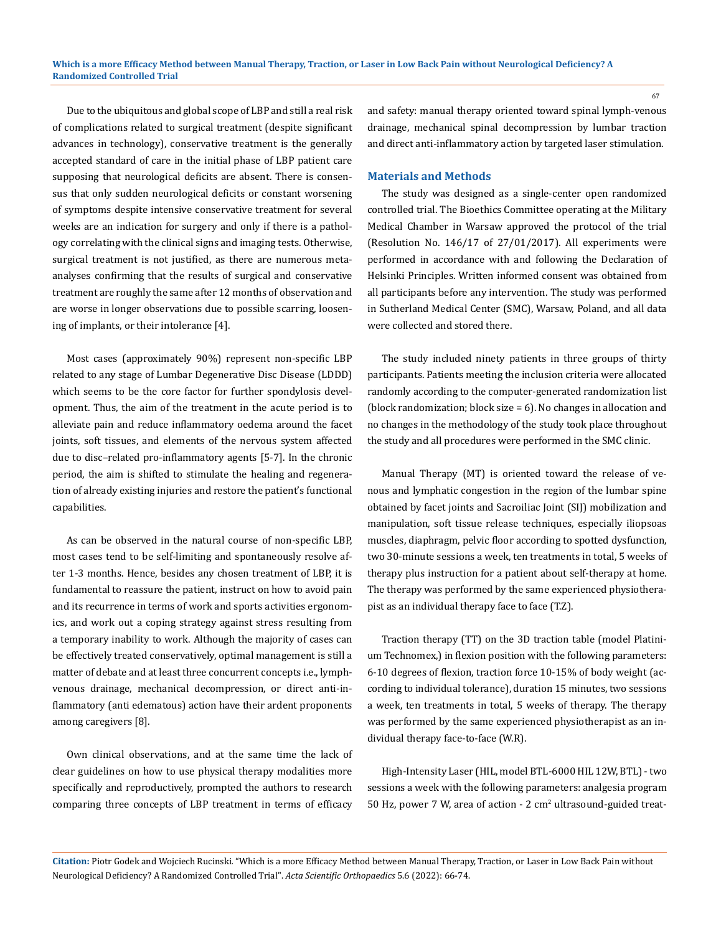Due to the ubiquitous and global scope of LBP and still a real risk of complications related to surgical treatment (despite significant advances in technology), conservative treatment is the generally accepted standard of care in the initial phase of LBP patient care supposing that neurological deficits are absent. There is consensus that only sudden neurological deficits or constant worsening of symptoms despite intensive conservative treatment for several weeks are an indication for surgery and only if there is a pathology correlating with the clinical signs and imaging tests. Otherwise, surgical treatment is not justified, as there are numerous metaanalyses confirming that the results of surgical and conservative treatment are roughly the same after 12 months of observation and are worse in longer observations due to possible scarring, loosening of implants, or their intolerance [4].

Most cases (approximately 90%) represent non-specific LBP related to any stage of Lumbar Degenerative Disc Disease (LDDD) which seems to be the core factor for further spondylosis development. Thus, the aim of the treatment in the acute period is to alleviate pain and reduce inflammatory oedema around the facet joints, soft tissues, and elements of the nervous system affected due to disc–related pro-inflammatory agents [5-7]. In the chronic period, the aim is shifted to stimulate the healing and regeneration of already existing injuries and restore the patient's functional capabilities.

As can be observed in the natural course of non-specific LBP, most cases tend to be self-limiting and spontaneously resolve after 1-3 months. Hence, besides any chosen treatment of LBP, it is fundamental to reassure the patient, instruct on how to avoid pain and its recurrence in terms of work and sports activities ergonomics, and work out a coping strategy against stress resulting from a temporary inability to work. Although the majority of cases can be effectively treated conservatively, optimal management is still a matter of debate and at least three concurrent concepts i.e., lymphvenous drainage, mechanical decompression, or direct anti-inflammatory (anti edematous) action have their ardent proponents among caregivers [8].

Own clinical observations, and at the same time the lack of clear guidelines on how to use physical therapy modalities more specifically and reproductively, prompted the authors to research comparing three concepts of LBP treatment in terms of efficacy

and safety: manual therapy oriented toward spinal lymph-venous drainage, mechanical spinal decompression by lumbar traction and direct anti-inflammatory action by targeted laser stimulation.

#### **Materials and Methods**

The study was designed as a single-center open randomized controlled trial. The Bioethics Committee operating at the Military Medical Chamber in Warsaw approved the protocol of the trial (Resolution No. 146/17 of 27/01/2017). All experiments were performed in accordance with and following the Declaration of Helsinki Principles. Written informed consent was obtained from all participants before any intervention. The study was performed in Sutherland Medical Center (SMC), Warsaw, Poland, and all data were collected and stored there.

The study included ninety patients in three groups of thirty participants. Patients meeting the inclusion criteria were allocated randomly according to the computer-generated randomization list (block randomization; block size = 6). No changes in allocation and no changes in the methodology of the study took place throughout the study and all procedures were performed in the SMC clinic.

Manual Therapy (MT) is oriented toward the release of venous and lymphatic congestion in the region of the lumbar spine obtained by facet joints and Sacroiliac Joint (SIJ) mobilization and manipulation, soft tissue release techniques, especially iliopsoas muscles, diaphragm, pelvic floor according to spotted dysfunction, two 30-minute sessions a week, ten treatments in total, 5 weeks of therapy plus instruction for a patient about self-therapy at home. The therapy was performed by the same experienced physiotherapist as an individual therapy face to face (T.Z).

Traction therapy (TT) on the 3D traction table (model Platinium Technomex,) in flexion position with the following parameters: 6-10 degrees of flexion, traction force 10-15% of body weight (according to individual tolerance), duration 15 minutes, two sessions a week, ten treatments in total, 5 weeks of therapy. The therapy was performed by the same experienced physiotherapist as an individual therapy face-to-face (W.R).

High-Intensity Laser (HIL, model BTL-6000 HIL 12W, BTL) - two sessions a week with the following parameters: analgesia program 50 Hz, power 7 W, area of action - 2 cm<sup>2</sup> ultrasound-guided treat-

**Citation:** Piotr Godek and Wojciech Rucinski*.* "Which is a more Efficacy Method between Manual Therapy, Traction, or Laser in Low Back Pain without Neurological Deficiency? A Randomized Controlled Trial". *Acta Scientific Orthopaedics* 5.6 (2022): 66-74.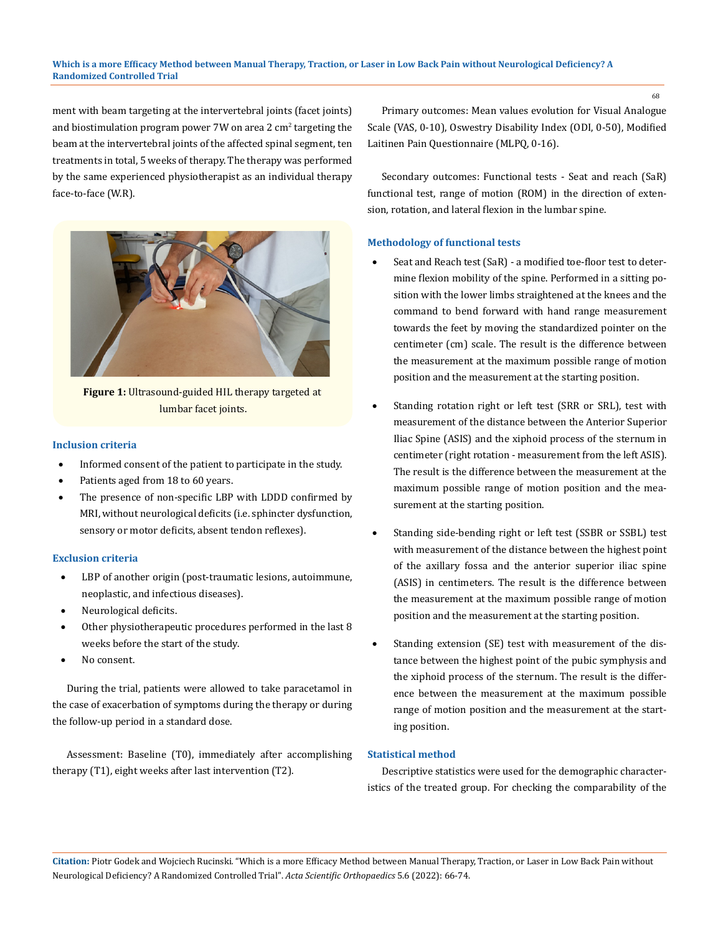#### **Which is a more Efficacy Method between Manual Therapy, Traction, or Laser in Low Back Pain without Neurological Deficiency? A Randomized Controlled Trial**

ment with beam targeting at the intervertebral joints (facet joints) and biostimulation program power 7W on area 2  $\rm cm^2$  targeting the beam at the intervertebral joints of the affected spinal segment, ten treatments in total, 5 weeks of therapy. The therapy was performed by the same experienced physiotherapist as an individual therapy face-to-face (W.R).



**Figure 1:** Ultrasound-guided HIL therapy targeted at lumbar facet joints.

#### **Inclusion criteria**

- Informed consent of the patient to participate in the study.
- Patients aged from 18 to 60 years.
- The presence of non-specific LBP with LDDD confirmed by MRI, without neurological deficits (i.e. sphincter dysfunction, sensory or motor deficits, absent tendon reflexes).

# **Exclusion criteria**

- LBP of another origin (post-traumatic lesions, autoimmune, neoplastic, and infectious diseases).
- Neurological deficits.
- Other physiotherapeutic procedures performed in the last 8 weeks before the start of the study.
- No consent.

During the trial, patients were allowed to take paracetamol in the case of exacerbation of symptoms during the therapy or during the follow-up period in a standard dose.

Assessment: Baseline (T0), immediately after accomplishing therapy (T1), eight weeks after last intervention (T2).

Primary outcomes: Mean values evolution for Visual Analogue Scale (VAS, 0-10), Oswestry Disability Index (ODI, 0-50), Modified Laitinen Pain Questionnaire (MLPQ, 0-16).

Secondary outcomes: Functional tests - Seat and reach (SaR) functional test, range of motion (ROM) in the direction of extension, rotation, and lateral flexion in the lumbar spine.

#### **Methodology of functional tests**

- Seat and Reach test (SaR) a modified toe-floor test to determine flexion mobility of the spine. Performed in a sitting position with the lower limbs straightened at the knees and the command to bend forward with hand range measurement towards the feet by moving the standardized pointer on the centimeter (cm) scale. The result is the difference between the measurement at the maximum possible range of motion position and the measurement at the starting position.
- Standing rotation right or left test (SRR or SRL), test with measurement of the distance between the Anterior Superior Iliac Spine (ASIS) and the xiphoid process of the sternum in centimeter (right rotation - measurement from the left ASIS). The result is the difference between the measurement at the maximum possible range of motion position and the measurement at the starting position.
- Standing side-bending right or left test (SSBR or SSBL) test with measurement of the distance between the highest point of the axillary fossa and the anterior superior iliac spine (ASIS) in centimeters. The result is the difference between the measurement at the maximum possible range of motion position and the measurement at the starting position.
- Standing extension (SE) test with measurement of the distance between the highest point of the pubic symphysis and the xiphoid process of the sternum. The result is the difference between the measurement at the maximum possible range of motion position and the measurement at the starting position.

# **Statistical method**

Descriptive statistics were used for the demographic characteristics of the treated group. For checking the comparability of the

**Citation:** Piotr Godek and Wojciech Rucinski*.* "Which is a more Efficacy Method between Manual Therapy, Traction, or Laser in Low Back Pain without Neurological Deficiency? A Randomized Controlled Trial". *Acta Scientific Orthopaedics* 5.6 (2022): 66-74.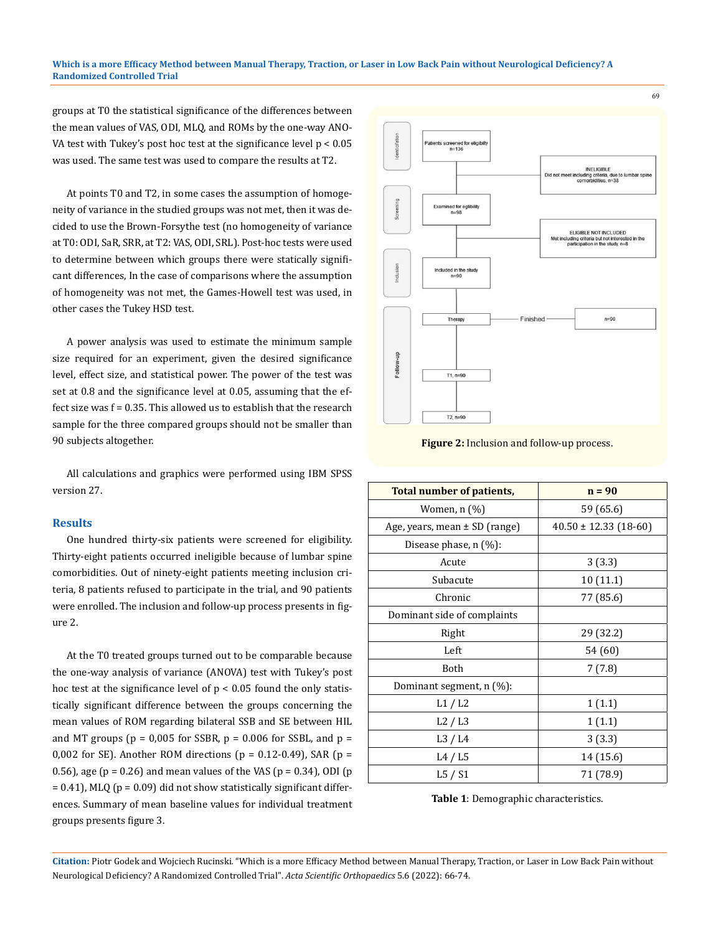#### **Which is a more Efficacy Method between Manual Therapy, Traction, or Laser in Low Back Pain without Neurological Deficiency? A Randomized Controlled Trial**

groups at T0 the statistical significance of the differences between the mean values of VAS, ODI, MLQ, and ROMs by the one-way ANO-VA test with Tukey's post hoc test at the significance level  $p < 0.05$ was used. The same test was used to compare the results at T2.

At points T0 and T2, in some cases the assumption of homogeneity of variance in the studied groups was not met, then it was decided to use the Brown-Forsythe test (no homogeneity of variance at T0: ODI, SaR, SRR, at T2: VAS, ODI, SRL). Post-hoc tests were used to determine between which groups there were statically significant differences, In the case of comparisons where the assumption of homogeneity was not met, the Games-Howell test was used, in other cases the Tukey HSD test.

A power analysis was used to estimate the minimum sample size required for an experiment, given the desired significance level, effect size, and statistical power. The power of the test was set at 0.8 and the significance level at 0.05, assuming that the effect size was f = 0.35. This allowed us to establish that the research sample for the three compared groups should not be smaller than 90 subjects altogether.

All calculations and graphics were performed using IBM SPSS version 27.

### **Results**

One hundred thirty-six patients were screened for eligibility. Thirty-eight patients occurred ineligible because of lumbar spine comorbidities. Out of ninety-eight patients meeting inclusion criteria, 8 patients refused to participate in the trial, and 90 patients were enrolled. The inclusion and follow-up process presents in figure 2.

At the T0 treated groups turned out to be comparable because the one-way analysis of variance (ANOVA) test with Tukey's post hoc test at the significance level of  $p < 0.05$  found the only statistically significant difference between the groups concerning the mean values of ROM regarding bilateral SSB and SE between HIL and MT groups ( $p = 0.005$  for SSBR,  $p = 0.006$  for SSBL, and  $p =$ 0,002 for SE). Another ROM directions ( $p = 0.12$ -0.49), SAR ( $p =$ 0.56), age ( $p = 0.26$ ) and mean values of the VAS ( $p = 0.34$ ), ODI ( $p$  $= 0.41$ ), MLQ ( $p = 0.09$ ) did not show statistically significant differences. Summary of mean baseline values for individual treatment groups presents figure 3.



**Figure 2:** Inclusion and follow-up process.

| Total number of patients,         | $n = 90$                  |
|-----------------------------------|---------------------------|
| Women, n (%)                      | 59 (65.6)                 |
| Age, years, mean $\pm$ SD (range) | $40.50 \pm 12.33$ (18-60) |
| Disease phase, $n$ $(\%)$ :       |                           |
| Acute                             | 3(3.3)                    |
| Subacute                          | 10 (11.1)                 |
| Chronic                           | 77 (85.6)                 |
| Dominant side of complaints       |                           |
| Right                             | 29 (32.2)                 |
| Left                              | 54 (60)                   |
| Both                              | 7(7.8)                    |
| Dominant segment, n (%):          |                           |
| L1/L2                             | 1(1.1)                    |
| L2/L3                             | 1(1.1)                    |
| L3/L4                             | 3(3.3)                    |
| L4/L5                             | 14 (15.6)                 |
| L5 / S1                           | 71 (78.9)                 |

**Table 1**: Demographic characteristics.

**Citation:** Piotr Godek and Wojciech Rucinski*.* "Which is a more Efficacy Method between Manual Therapy, Traction, or Laser in Low Back Pain without Neurological Deficiency? A Randomized Controlled Trial". *Acta Scientific Orthopaedics* 5.6 (2022): 66-74.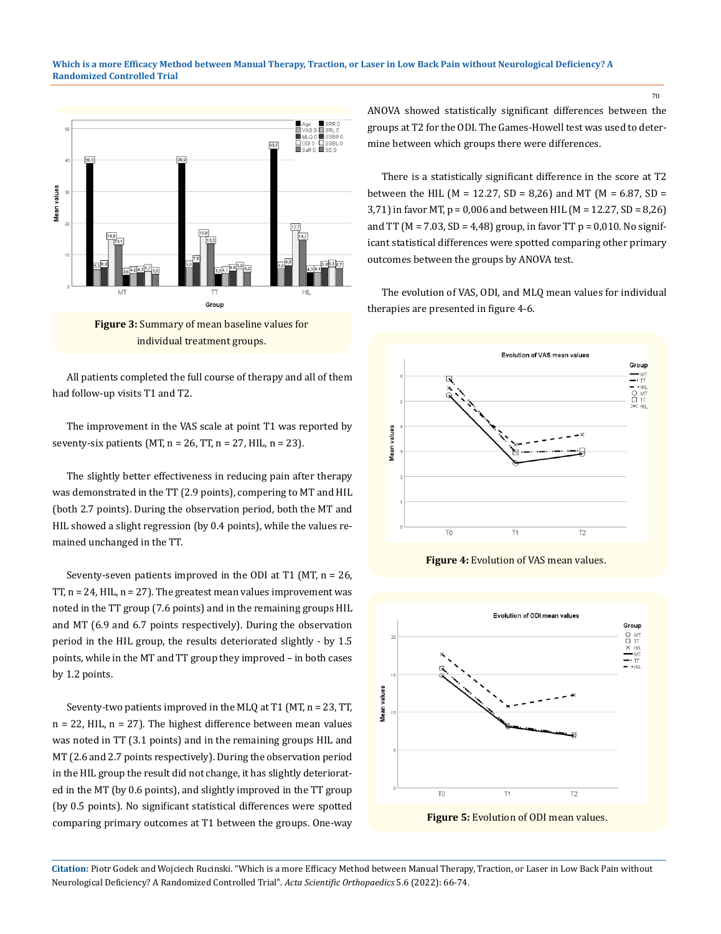

individual treatment groups.

All patients completed the full course of therapy and all of them had follow-up visits T1 and T2.

The improvement in the VAS scale at point T1 was reported by seventy-six patients (MT,  $n = 26$ , TT,  $n = 27$ , HIL,  $n = 23$ ).

The slightly better effectiveness in reducing pain after therapy was demonstrated in the TT (2.9 points), compering to MT and HIL (both 2.7 points). During the observation period, both the MT and HIL showed a slight regression (by 0.4 points), while the values remained unchanged in the TT.

Seventy-seven patients improved in the ODI at T1 (MT,  $n = 26$ , TT,  $n = 24$ , HIL,  $n = 27$ ). The greatest mean values improvement was noted in the TT group (7.6 points) and in the remaining groups HIL and MT (6.9 and 6.7 points respectively). During the observation period in the HIL group, the results deteriorated slightly - by 1.5 points, while in the MT and TT group they improved – in both cases by 1.2 points.

Seventy-two patients improved in the MLQ at T1 (MT, n = 23, TT, n = 22, HIL, n = 27). The highest difference between mean values was noted in TT (3.1 points) and in the remaining groups HIL and MT (2.6 and 2.7 points respectively). During the observation period in the HIL group the result did not change, it has slightly deteriorated in the MT (by 0.6 points), and slightly improved in the TT group (by 0.5 points). No significant statistical differences were spotted comparing primary outcomes at T1 between the groups. One-way ANOVA showed statistically significant differences between the groups at T2 for the ODI. The Games-Howell test was used to determine between which groups there were differences.

There is a statistically significant difference in the score at T2 between the HIL (M = 12.27, SD = 8,26) and MT (M = 6.87, SD = 3,71) in favor MT, p = 0,006 and between HIL (M = 12.27, SD = 8,26) and TT ( $M = 7.03$ , SD = 4,48) group, in favor TT  $p = 0.010$ . No significant statistical differences were spotted comparing other primary outcomes between the groups by ANOVA test.

The evolution of VAS, ODI, and MLQ mean values for individual therapies are presented in figure 4-6.



**Figure 4: Evolution of VAS mean values.** 



**Citation:** Piotr Godek and Wojciech Rucinski*.* "Which is a more Efficacy Method between Manual Therapy, Traction, or Laser in Low Back Pain without Neurological Deficiency? A Randomized Controlled Trial". *Acta Scientific Orthopaedics* 5.6 (2022): 66-74.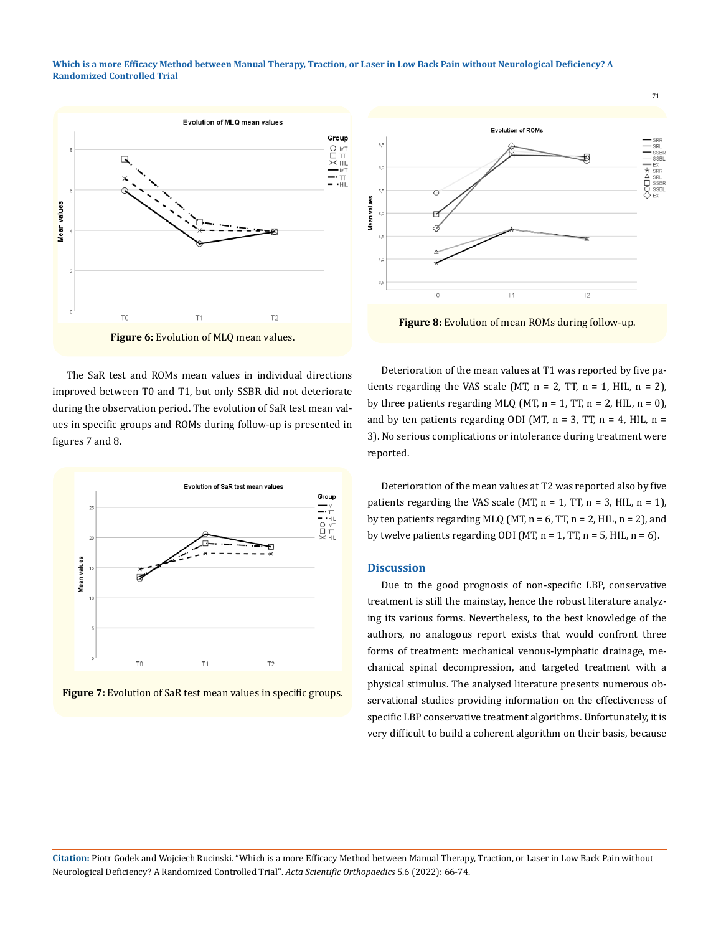#### **Which is a more Efficacy Method between Manual Therapy, Traction, or Laser in Low Back Pain without Neurological Deficiency? A Randomized Controlled Trial**



The SaR test and ROMs mean values in individual directions improved between T0 and T1, but only SSBR did not deteriorate during the observation period. The evolution of SaR test mean values in specific groups and ROMs during follow-up is presented in figures 7 and 8.







**Figure 8:** Evolution of mean ROMs during follow-up.

Deterioration of the mean values at T1 was reported by five patients regarding the VAS scale (MT,  $n = 2$ , TT,  $n = 1$ , HIL,  $n = 2$ ), by three patients regarding MLQ (MT,  $n = 1$ , TT,  $n = 2$ , HIL,  $n = 0$ ), and by ten patients regarding ODI (MT,  $n = 3$ , TT,  $n = 4$ , HIL,  $n =$ 3). No serious complications or intolerance during treatment were reported.

Deterioration of the mean values at T2 was reported also by five patients regarding the VAS scale (MT,  $n = 1$ , TT,  $n = 3$ , HIL,  $n = 1$ ), by ten patients regarding MLQ (MT,  $n = 6$ , TT,  $n = 2$ , HIL,  $n = 2$ ), and by twelve patients regarding ODI (MT,  $n = 1$ , TT,  $n = 5$ , HIL,  $n = 6$ ).

# **Discussion**

Due to the good prognosis of non-specific LBP, conservative treatment is still the mainstay, hence the robust literature analyzing its various forms. Nevertheless, to the best knowledge of the authors, no analogous report exists that would confront three forms of treatment: mechanical venous-lymphatic drainage, mechanical spinal decompression, and targeted treatment with a physical stimulus. The analysed literature presents numerous observational studies providing information on the effectiveness of specific LBP conservative treatment algorithms. Unfortunately, it is very difficult to build a coherent algorithm on their basis, because

**Citation:** Piotr Godek and Wojciech Rucinski*.* "Which is a more Efficacy Method between Manual Therapy, Traction, or Laser in Low Back Pain without Neurological Deficiency? A Randomized Controlled Trial". *Acta Scientific Orthopaedics* 5.6 (2022): 66-74.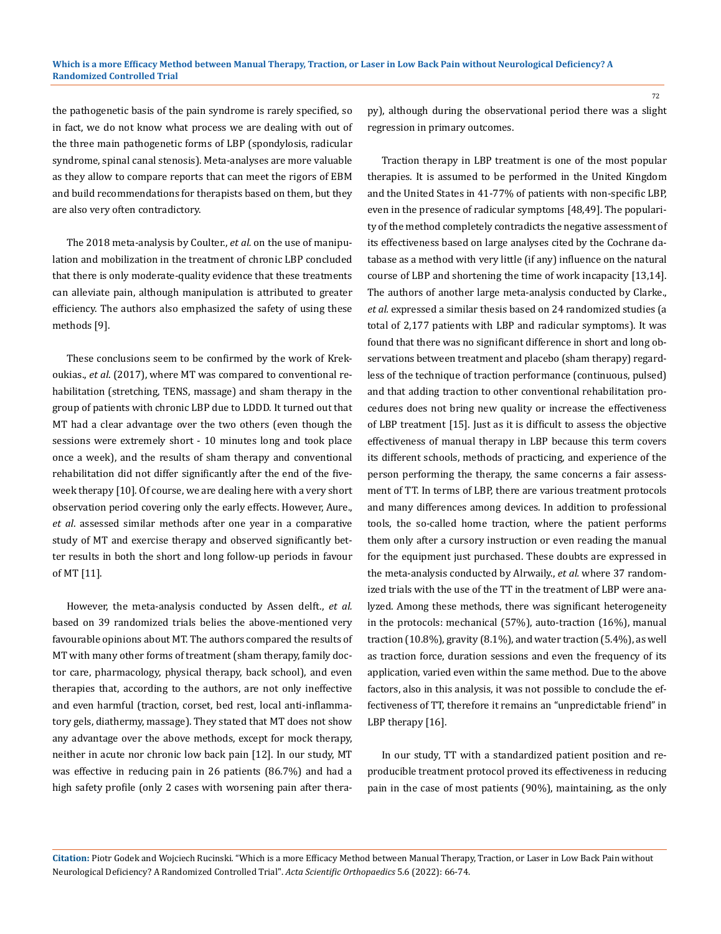the pathogenetic basis of the pain syndrome is rarely specified, so in fact, we do not know what process we are dealing with out of the three main pathogenetic forms of LBP (spondylosis, radicular syndrome, spinal canal stenosis). Meta-analyses are more valuable as they allow to compare reports that can meet the rigors of EBM and build recommendations for therapists based on them, but they are also very often contradictory.

The 2018 meta-analysis by Coulter., *et al.* on the use of manipulation and mobilization in the treatment of chronic LBP concluded that there is only moderate-quality evidence that these treatments can alleviate pain, although manipulation is attributed to greater efficiency. The authors also emphasized the safety of using these methods [9].

These conclusions seem to be confirmed by the work of Krekoukias., *et al*. (2017), where MT was compared to conventional rehabilitation (stretching, TENS, massage) and sham therapy in the group of patients with chronic LBP due to LDDD. It turned out that MT had a clear advantage over the two others (even though the sessions were extremely short - 10 minutes long and took place once a week), and the results of sham therapy and conventional rehabilitation did not differ significantly after the end of the fiveweek therapy [10]. Of course, we are dealing here with a very short observation period covering only the early effects. However, Aure., *et al*. assessed similar methods after one year in a comparative study of MT and exercise therapy and observed significantly better results in both the short and long follow-up periods in favour of MT [11].

However, the meta-analysis conducted by Assen delft., *et al.* based on 39 randomized trials belies the above-mentioned very favourable opinions about MT. The authors compared the results of MT with many other forms of treatment (sham therapy, family doctor care, pharmacology, physical therapy, back school), and even therapies that, according to the authors, are not only ineffective and even harmful (traction, corset, bed rest, local anti-inflammatory gels, diathermy, massage). They stated that MT does not show any advantage over the above methods, except for mock therapy, neither in acute nor chronic low back pain [12]. In our study, MT was effective in reducing pain in 26 patients (86.7%) and had a high safety profile (only 2 cases with worsening pain after therapy), although during the observational period there was a slight regression in primary outcomes.

Traction therapy in LBP treatment is one of the most popular therapies. It is assumed to be performed in the United Kingdom and the United States in 41-77% of patients with non-specific LBP, even in the presence of radicular symptoms [48,49]. The popularity of the method completely contradicts the negative assessment of its effectiveness based on large analyses cited by the Cochrane database as a method with very little (if any) influence on the natural course of LBP and shortening the time of work incapacity [13,14]. The authors of another large meta-analysis conducted by Clarke., *et al.* expressed a similar thesis based on 24 randomized studies (a total of 2,177 patients with LBP and radicular symptoms). It was found that there was no significant difference in short and long observations between treatment and placebo (sham therapy) regardless of the technique of traction performance (continuous, pulsed) and that adding traction to other conventional rehabilitation procedures does not bring new quality or increase the effectiveness of LBP treatment [15]. Just as it is difficult to assess the objective effectiveness of manual therapy in LBP because this term covers its different schools, methods of practicing, and experience of the person performing the therapy, the same concerns a fair assessment of TT. In terms of LBP, there are various treatment protocols and many differences among devices. In addition to professional tools, the so-called home traction, where the patient performs them only after a cursory instruction or even reading the manual for the equipment just purchased. These doubts are expressed in the meta-analysis conducted by Alrwaily., *et al.* where 37 randomized trials with the use of the TT in the treatment of LBP were analyzed. Among these methods, there was significant heterogeneity in the protocols: mechanical (57%), auto-traction (16%), manual traction (10.8%), gravity (8.1%), and water traction (5.4%), as well as traction force, duration sessions and even the frequency of its application, varied even within the same method. Due to the above factors, also in this analysis, it was not possible to conclude the effectiveness of TT, therefore it remains an "unpredictable friend" in LBP therapy [16].

In our study, TT with a standardized patient position and reproducible treatment protocol proved its effectiveness in reducing pain in the case of most patients (90%), maintaining, as the only

**Citation:** Piotr Godek and Wojciech Rucinski*.* "Which is a more Efficacy Method between Manual Therapy, Traction, or Laser in Low Back Pain without Neurological Deficiency? A Randomized Controlled Trial". *Acta Scientific Orthopaedics* 5.6 (2022): 66-74.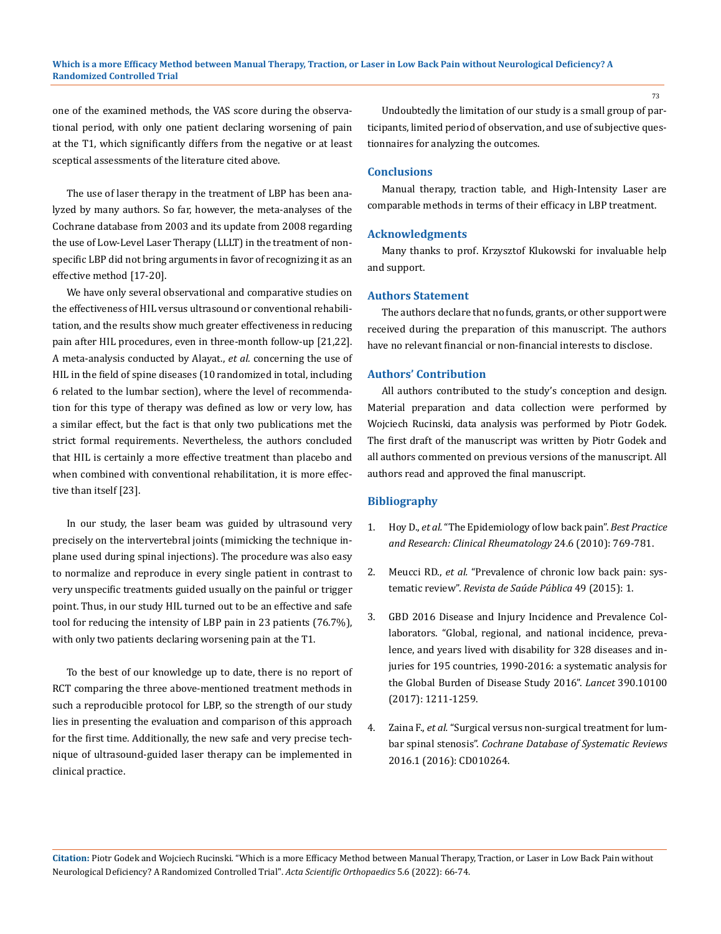one of the examined methods, the VAS score during the observational period, with only one patient declaring worsening of pain at the T1, which significantly differs from the negative or at least sceptical assessments of the literature cited above.

The use of laser therapy in the treatment of LBP has been analyzed by many authors. So far, however, the meta-analyses of the Cochrane database from 2003 and its update from 2008 regarding the use of Low-Level Laser Therapy (LLLT) in the treatment of nonspecific LBP did not bring arguments in favor of recognizing it as an effective method [17-20].

We have only several observational and comparative studies on the effectiveness of HIL versus ultrasound or conventional rehabilitation, and the results show much greater effectiveness in reducing pain after HIL procedures, even in three-month follow-up [21,22]. A meta-analysis conducted by Alayat., *et al.* concerning the use of HIL in the field of spine diseases (10 randomized in total, including 6 related to the lumbar section), where the level of recommendation for this type of therapy was defined as low or very low, has a similar effect, but the fact is that only two publications met the strict formal requirements. Nevertheless, the authors concluded that HIL is certainly a more effective treatment than placebo and when combined with conventional rehabilitation, it is more effective than itself [23].

In our study, the laser beam was guided by ultrasound very precisely on the intervertebral joints (mimicking the technique inplane used during spinal injections). The procedure was also easy to normalize and reproduce in every single patient in contrast to very unspecific treatments guided usually on the painful or trigger point. Thus, in our study HIL turned out to be an effective and safe tool for reducing the intensity of LBP pain in 23 patients (76.7%), with only two patients declaring worsening pain at the T1.

To the best of our knowledge up to date, there is no report of RCT comparing the three above-mentioned treatment methods in such a reproducible protocol for LBP, so the strength of our study lies in presenting the evaluation and comparison of this approach for the first time. Additionally, the new safe and very precise technique of ultrasound-guided laser therapy can be implemented in clinical practice.

Undoubtedly the limitation of our study is a small group of participants, limited period of observation, and use of subjective questionnaires for analyzing the outcomes.

# **Conclusions**

Manual therapy, traction table, and High-Intensity Laser are comparable methods in terms of their efficacy in LBP treatment.

#### **Acknowledgments**

Many thanks to prof. Krzysztof Klukowski for invaluable help and support.

#### **Authors Statement**

The authors declare that no funds, grants, or other support were received during the preparation of this manuscript. The authors have no relevant financial or non-financial interests to disclose.

### **Authors' Contribution**

All authors contributed to the study's conception and design. Material preparation and data collection were performed by Wojciech Rucinski, data analysis was performed by Piotr Godek. The first draft of the manuscript was written by Piotr Godek and all authors commented on previous versions of the manuscript. All authors read and approved the final manuscript.

### **Bibliography**

- 1. Hoy D., *et al.* ["The Epidemiology of low back pain".](https://pubmed.ncbi.nlm.nih.gov/21665125/) *Best Practice [and Research: Clinical Rheumatology](https://pubmed.ncbi.nlm.nih.gov/21665125/)* 24.6 (2010): 769-781.
- 2. Meucci RD., *et al.* ["Prevalence of chronic low back pain: sys](https://pubmed.ncbi.nlm.nih.gov/26487293/)tematic review". *[Revista de Saúde Pública](https://pubmed.ncbi.nlm.nih.gov/26487293/)* 49 (2015): 1.
- 3. [GBD 2016 Disease and Injury Incidence and Prevalence Col](https://pubmed.ncbi.nlm.nih.gov/28919117/)[laborators. "Global, regional, and national incidence, preva](https://pubmed.ncbi.nlm.nih.gov/28919117/)[lence, and years lived with disability for 328 diseases and in](https://pubmed.ncbi.nlm.nih.gov/28919117/)[juries for 195 countries, 1990-2016: a systematic analysis for](https://pubmed.ncbi.nlm.nih.gov/28919117/) [the Global Burden of Disease Study 2016".](https://pubmed.ncbi.nlm.nih.gov/28919117/) *Lancet* 390.10100 [\(2017\): 1211-1259.](https://pubmed.ncbi.nlm.nih.gov/28919117/)
- 4. Zaina F., *et al.* ["Surgical versus non-surgical treatment for lum](https://www.ncbi.nlm.nih.gov/pmc/articles/PMC6669253/)bar spinal stenosis". *[Cochrane Database of Systematic Reviews](https://www.ncbi.nlm.nih.gov/pmc/articles/PMC6669253/)*  [2016.1 \(2016\): CD010264.](https://www.ncbi.nlm.nih.gov/pmc/articles/PMC6669253/)

**Citation:** Piotr Godek and Wojciech Rucinski*.* "Which is a more Efficacy Method between Manual Therapy, Traction, or Laser in Low Back Pain without Neurological Deficiency? A Randomized Controlled Trial". *Acta Scientific Orthopaedics* 5.6 (2022): 66-74.